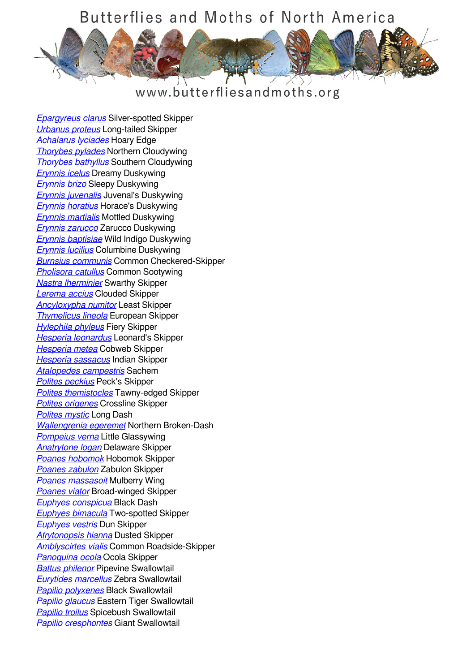

## www.butterfliesandmoths.org

*[Epargyreus clarus](/species/Epargyreus-clarus)* Silver-spotted Skipper *[Urbanus proteus](/species/Urbanus-proteus)* Long-tailed Skipper *[Achalarus lyciades](/species/Achalarus-lyciades)* Hoary Edge *[Thorybes pylades](/species/Thorybes-pylades)* Northern Cloudywing *[Thorybes bathyllus](/species/Thorybes-bathyllus)* Southern Cloudywing *[Erynnis icelus](/species/Erynnis-icelus)* Dreamy Duskywing *[Erynnis brizo](/species/Erynnis-brizo)* Sleepy Duskywing *[Erynnis juvenalis](/species/Erynnis-juvenalis)* Juvenal's Duskywing *[Erynnis horatius](/species/Erynnis-horatius)* Horace's Duskywing *[Erynnis martialis](/species/Erynnis-martialis)* Mottled Duskywing *[Erynnis zarucco](/species/Erynnis-zarucco)* Zarucco Duskywing *[Erynnis baptisiae](/species/Erynnis-baptisiae)* Wild Indigo Duskywing *[Erynnis lucilius](/species/Erynnis-lucilius)* Columbine Duskywing *[Burnsius communis](/species/Pyrgus-communis)* Common Checkered-Skipper *[Pholisora catullus](/species/Pholisora-catullus)* Common Sootywing *[Nastra lherminier](/species/Nastra-lherminier)* Swarthy Skipper *[Lerema accius](/species/Lerema-accius)* Clouded Skipper *[Ancyloxypha numitor](/species/Ancyloxypha-numitor)* Least Skipper *[Thymelicus lineola](/species/Thymelicus-lineola)* European Skipper *[Hylephila phyleus](/species/Hylephila-phyleus)* Fiery Skipper *[Hesperia leonardus](/species/Hesperia-leonardus)* Leonard's Skipper *[Hesperia metea](/species/Hesperia-metea)* Cobweb Skipper *[Hesperia sassacus](/species/Hesperia-sassacus)* Indian Skipper *[Atalopedes campestris](/species/Atalopedes-campestris)* Sachem *[Polites peckius](/species/Polites-peckius)* Peck's Skipper *[Polites themistocles](/species/Polites-themistocles)* Tawny-edged Skipper *[Polites origenes](/species/Polites-origenes)* Crossline Skipper *[Polites mystic](/species/Polites-mystic)* Long Dash *[Wallengrenia egeremet](/species/Wallengrenia-egeremet)* Northern Broken-Dash *[Pompeius verna](/species/Pompeius-verna)* Little Glassywing *[Anatrytone logan](/species/Anatrytone-logan)* Delaware Skipper *[Poanes hobomok](/species/Poanes-hobomok)* Hobomok Skipper *[Poanes zabulon](/species/Poanes-zabulon)* Zabulon Skipper *[Poanes massasoit](/species/Poanes-massasoit)* Mulberry Wing *[Poanes viator](/species/Poanes-viator)* Broad-winged Skipper *[Euphyes conspicua](/species/Euphyes-conspicua)* Black Dash *[Euphyes bimacula](/species/Euphyes-bimacula)* Two-spotted Skipper *[Euphyes vestris](/species/Euphyes-vestris)* Dun Skipper *[Atrytonopsis hianna](/species/Atrytonopsis-hianna)* Dusted Skipper *[Amblyscirtes vialis](/species/Amblyscirtes-vialis)* Common Roadside-Skipper *[Panoquina ocola](/species/Panoquina-ocola)* Ocola Skipper *[Battus philenor](/species/Battus-philenor)* Pipevine Swallowtail *[Eurytides marcellus](/species/Eurytides-marcellus)* Zebra Swallowtail *[Papilio polyxenes](/species/Papilio-polyxenes)* Black Swallowtail *[Papilio glaucus](/species/Papilio-glaucus)* Eastern Tiger Swallowtail *[Papilio troilus](/species/Papilio-troilus)* Spicebush Swallowtail *[Papilio cresphontes](/species/Papilio-cresphontes)* Giant Swallowtail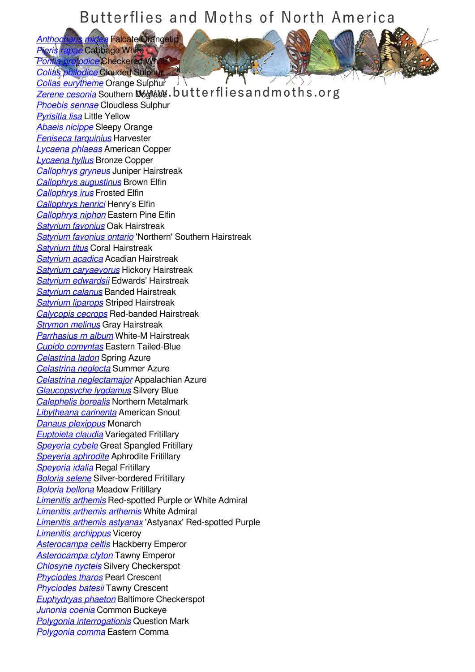*[Anthocharis midea](/species/Anthocharis-midea)* Falcate Orangetip *[Pieris rapae](/species/Pieris-rapae)* Cabbage White *Prodice* Checkered White

*[Colias philodice](/species/Colias-philodice)* Clouded Sulphur

*[Colias eurytheme](/species/Colias-eurytheme)* Orange Sulphur JY **[Zerene cesonia](/species/Zerene-cesonia)** Southern Dogface.butterfliesandmoths.org *[Phoebis sennae](/species/Phoebis-sennae)* Cloudless Sulphur *[Pyrisitia lisa](/species/Pyrisitia-lisa)* Little Yellow *[Abaeis nicippe](/species/Abaeis-nicippe)* Sleepy Orange *[Feniseca tarquinius](/species/Feniseca-tarquinius)* Harvester *[Lycaena phlaeas](/species/Lycaena-phlaeas)* American Copper *[Lycaena hyllus](/species/Lycaena-hyllus)* Bronze Copper *[Callophrys gryneus](/species/Callophrys-gryneus)* Juniper Hairstreak *[Callophrys augustinus](/species/Callophrys-augustinus)* Brown Elfin *[Callophrys irus](/species/Callophrys-irus)* Frosted Elfin *[Callophrys henrici](/species/Callophrys-henrici)* Henry's Elfin *[Callophrys niphon](/species/Callophrys-niphon)* Eastern Pine Elfin *[Satyrium favonius](/species/Satyrium-favonius)* Oak Hairstreak *[Satyrium favonius ontario](/species/Satyrium-favonius-ontario)* 'Northern' Southern Hairstreak *[Satyrium titus](/species/Satyrium-titus)* Coral Hairstreak *[Satyrium acadica](/species/Satyrium-acadica)* Acadian Hairstreak *[Satyrium caryaevorus](/species/Satyrium-caryaevorus)* Hickory Hairstreak *[Satyrium edwardsii](/species/Satyrium-edwardsii)* Edwards' Hairstreak *[Satyrium calanus](/species/Satyrium-calanus)* Banded Hairstreak *[Satyrium liparops](/species/Satyrium-liparops)* Striped Hairstreak *[Calycopis cecrops](/species/Calycopis-cecrops)* Red-banded Hairstreak *[Strymon melinus](/species/Strymon-melinus)* Gray Hairstreak *[Parrhasius m album](/species/Parrhasius-m-album)* White-M Hairstreak *[Cupido comyntas](/species/Cupido-comyntas)* Eastern Tailed-Blue *[Celastrina ladon](/species/Celastrina-ladon)* Spring Azure *[Celastrina neglecta](/species/Celastrina-neglecta)* Summer Azure *[Celastrina neglectamajor](/species/Celastrina-neglectamajor)* Appalachian Azure *[Glaucopsyche lygdamus](/species/Glaucopsyche-lygdamus)* Silvery Blue *[Calephelis borealis](/species/Calephelis-borealis)* Northern Metalmark *[Libytheana carinenta](/species/Libytheana-carinenta)* American Snout *[Danaus plexippus](/species/Danaus-plexippus)* Monarch *[Euptoieta claudia](/species/Euptoieta-claudia)* Variegated Fritillary *[Speyeria cybele](/species/Speyeria-cybele)* Great Spangled Fritillary *[Speyeria aphrodite](/species/Speyeria-aphrodite)* Aphrodite Fritillary *[Speyeria idalia](/species/Speyeria-idalia)* Regal Fritillary *[Boloria selene](/species/Boloria-selene)* Silver-bordered Fritillary *[Boloria bellona](/species/Boloria-bellona)* Meadow Fritillary *[Limenitis arthemis](/species/Limenitis-arthemis)* Red-spotted Purple or White Admiral *[Limenitis arthemis arthemis](/species/Limenitis-arthemis-arthemis)* White Admiral *[Limenitis arthemis astyanax](/species/Limenitis-arthemis-astyanax)* 'Astyanax' Red-spotted Purple *[Limenitis archippus](/species/Limenitis-archippus)* Viceroy *[Asterocampa celtis](/species/Asterocampa-celtis)* Hackberry Emperor *[Asterocampa clyton](/species/Asterocampa-clyton)* Tawny Emperor *[Chlosyne nycteis](/species/Chlosyne-nycteis)* Silvery Checkerspot *[Phyciodes tharos](/species/Phyciodes-tharos)* Pearl Crescent *[Phyciodes batesii](/species/Phyciodes-batesii)* Tawny Crescent *[Euphydryas phaeton](/species/Euphydryas-phaeton)* Baltimore Checkerspot *[Junonia coenia](/species/Junonia-coenia)* Common Buckeye *[Polygonia interrogationis](/species/Polygonia-interrogationis)* Question Mark *[Polygonia comma](/species/Polygonia-comma)* Eastern Comma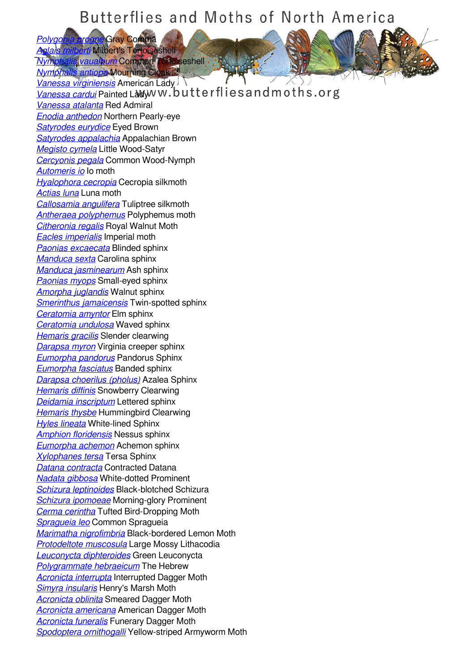*[Polygonia progne](/species/Polygonia-progne)* Gray Comma *Arti* Milbert's Tortoiseshell

*[Nymphalis vaualbum](/species/Nymphalis-vaualbum)* Compton Tortoiseshell

*[Nymphalis antiopa](/species/Nymphalis-antiopa)* Mourning Cloak *[Vanessa virginiensis](/species/Vanessa-virginiensis)* American Lady **[Vanessa cardui](/species/Vanessa-cardui)** Painted Ladyw w.butterflies and moths.org *[Vanessa atalanta](/species/Vanessa-atalanta)* Red Admiral *[Enodia anthedon](/species/Enodia-anthedon)* Northern Pearly-eye *[Satyrodes eurydice](/species/Satyrodes-eurydice)* Eyed Brown *[Satyrodes appalachia](/species/Satyrodes-appalachia)* Appalachian Brown *[Megisto cymela](/species/Megisto-cymela)* Little Wood-Satyr *[Cercyonis pegala](/species/Cercyonis-pegala)* Common Wood-Nymph *[Automeris io](/species/Automeris-io)* Io moth *[Hyalophora cecropia](/species/Hyalophora-cecropia)* Cecropia silkmoth *[Actias luna](/species/Actias-luna)* Luna moth *[Callosamia angulifera](/species/Callosamia-angulifera)* Tuliptree silkmoth *[Antheraea polyphemus](/species/Antheraea-polyphemus)* Polyphemus moth *[Citheronia regalis](/species/Citheronia-regalis)* Royal Walnut Moth *[Eacles imperialis](/species/Eacles-imperialis)* Imperial moth *[Paonias excaecata](/species/Paonias-excaecata)* Blinded sphinx *[Manduca sexta](/species/Manduca-sexta)* Carolina sphinx *[Manduca jasminearum](/species/Manduca-jasminearum)* Ash sphinx *[Paonias myops](/species/Paonias-myops)* Small-eyed sphinx *[Amorpha juglandis](/species/Amorpha-juglandis)* Walnut sphinx *[Smerinthus jamaicensis](/species/Smerinthus-jamaicensis)* Twin-spotted sphinx *[Ceratomia amyntor](/species/Ceratomia-amyntor)* Elm sphinx *[Ceratomia undulosa](/species/Ceratomia-undulosa)* Waved sphinx *[Hemaris gracilis](/species/Hemaris-gracilis)* Slender clearwing *[Darapsa myron](/species/Darapsa-myron)* Virginia creeper sphinx *[Eumorpha pandorus](/species/Eumorpha-pandorus)* Pandorus Sphinx *[Eumorpha fasciatus](/species/Eumorpha-fasciatus)* Banded sphinx *[Darapsa choerilus \(pholus\)](/species/Darapsa-choerilus-%28pholus%29)* Azalea Sphinx *[Hemaris diffinis](/species/Hemaris-diffinis)* Snowberry Clearwing *[Deidamia inscriptum](/species/Deidamia-inscriptum)* Lettered sphinx *[Hemaris thysbe](/species/Hemaris-thysbe)* Hummingbird Clearwing *[Hyles lineata](/species/Hyles-lineata)* White-lined Sphinx *[Amphion floridensis](/species/Amphion-floridensis)* Nessus sphinx *[Eumorpha achemon](/species/Eumorpha-achemon)* Achemon sphinx *[Xylophanes tersa](/species/Xylophanes-tersa)* Tersa Sphinx *[Datana contracta](/species/Datana-contracta)* Contracted Datana *[Nadata gibbosa](/species/Nadata-gibbosa)* White-dotted Prominent *[Schizura leptinoides](/species/Schizura-leptinoides)* Black-blotched Schizura *[Schizura ipomoeae](/species/Schizura-ipomoeae)* Morning-glory Prominent *[Cerma cerintha](/species/Cerma-cerintha)* Tufted Bird-Dropping Moth *[Spragueia leo](/species/Spragueia-leo)* Common Spragueia *[Marimatha nigrofimbria](/species/Marimatha-nigrofimbria)* Black-bordered Lemon Moth *[Protodeltote muscosula](/species/Protodeltote-muscosula)* Large Mossy Lithacodia *[Leuconycta diphteroides](/species/Leuconycta-diphteroides)* Green Leuconycta *[Polygrammate hebraeicum](/species/Polygrammate-hebraeicum)* The Hebrew *[Acronicta interrupta](/species/Acronicta-interrupta)* Interrupted Dagger Moth *[Simyra insularis](/species/Simyra-insularis)* Henry's Marsh Moth *[Acronicta oblinita](/species/Acronicta-oblinita)* Smeared Dagger Moth *[Acronicta americana](/species/Acronicta-americana)* American Dagger Moth *[Acronicta funeralis](/species/Acronicta-funeralis)* Funerary Dagger Moth *[Spodoptera ornithogalli](/species/Spodoptera-ornithogalli)* Yellow-striped Armyworm Moth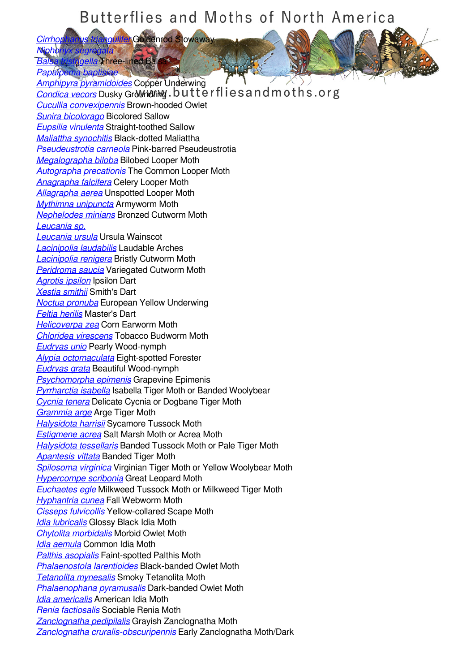*[Cirrhophanus triangulifer](/species/Cirrhophanus-triangulifer)* Goldenrod Stowaway **Nipho** 

*Balla* Three-lined Bal *[Papaipema baptisiae](/species/Papaipema-baptisiae)*

*[Amphipyra pyramidoides](/species/Amphipyra-pyramidoides)* Copper Underwing **[Condica vecors](/species/Condica-vecors)** Dusky Growndring.butterflies and moths.org *[Cucullia convexipennis](/species/Cucullia-convexipennis)* Brown-hooded Owlet *[Sunira bicolorago](/species/Sunira-bicolorago)* Bicolored Sallow *[Eupsilia vinulenta](/species/Eupsilia-vinulenta)* Straight-toothed Sallow *[Maliattha synochitis](/species/Maliattha-synochitis)* Black-dotted Maliattha *[Pseudeustrotia carneola](/species/Pseudeustrotia-carneola)* Pink-barred Pseudeustrotia *[Megalographa biloba](/species/Megalographa-biloba)* Bilobed Looper Moth *[Autographa precationis](/species/Autographa-precationis)* The Common Looper Moth *[Anagrapha falcifera](/species/Anagrapha-falcifera)* Celery Looper Moth *[Allagrapha aerea](/species/Allagrapha-aerea)* Unspotted Looper Moth *[Mythimna unipuncta](/species/Mythimna-unipuncta)* Armyworm Moth *[Nephelodes minians](/species/Nephelodes-minians)* Bronzed Cutworm Moth *[Leucania sp.](/species/Leucania-sp.) [Leucania ursula](/species/Leucania-ursula)* Ursula Wainscot *[Lacinipolia laudabilis](/species/Lacinipolia-laudabilis)* Laudable Arches *[Lacinipolia renigera](/species/Lacinipolia-renigera)* Bristly Cutworm Moth *[Peridroma saucia](/species/Peridroma-saucia)* Variegated Cutworm Moth *[Agrotis ipsilon](/species/Agrotis-ipsilon)* Ipsilon Dart *[Xestia smithii](/species/Xestia-smithii)* Smith's Dart *[Noctua pronuba](/species/Noctua-pronuba)* European Yellow Underwing *[Feltia herilis](/species/Feltia-herilis)* Master's Dart *[Helicoverpa zea](/species/Helicoverpa-zea)* Corn Earworm Moth *[Chloridea virescens](/species/chloridea-virescens)* Tobacco Budworm Moth *[Eudryas unio](/species/Eudryas-unio)* Pearly Wood-nymph *[Alypia octomaculata](/species/Alypia-octomaculata)* Eight-spotted Forester *[Eudryas grata](/species/Eudryas-grata)* Beautiful Wood-nymph *[Psychomorpha epimenis](/species/Psychomorpha-epimenis)* Grapevine Epimenis *[Pyrrharctia isabella](/species/Pyrrharctia-isabella)* Isabella Tiger Moth or Banded Woolybear *[Cycnia tenera](/species/Cycnia-tenera)* Delicate Cycnia or Dogbane Tiger Moth *[Grammia arge](/species/Grammia-arge)* Arge Tiger Moth *[Halysidota harrisii](/species/Halysidota-harrisii)* Sycamore Tussock Moth *[Estigmene acrea](/species/Estigmene-acrea)* Salt Marsh Moth or Acrea Moth *[Halysidota tessellaris](/species/Halysidota-tessellaris)* Banded Tussock Moth or Pale Tiger Moth *[Apantesis vittata](/species/Apantesis-vittata)* Banded Tiger Moth *[Spilosoma virginica](/species/Spilosoma-virginica)* Virginian Tiger Moth or Yellow Woolybear Moth *[Hypercompe scribonia](/species/Hypercompe-scribonia)* Great Leopard Moth *[Euchaetes egle](/species/Euchaetes-egle)* Milkweed Tussock Moth or Milkweed Tiger Moth *[Hyphantria cunea](/species/Hyphantria-cunea)* Fall Webworm Moth *[Cisseps fulvicollis](/species/Cisseps-fulvicollis)* Yellow-collared Scape Moth *[Idia lubricalis](/species/Idia-lubricalis)* Glossy Black Idia Moth *[Chytolita morbidalis](/species/Chytolita-morbidalis)* Morbid Owlet Moth *[Idia aemula](/species/Idia-aemula)* Common Idia Moth *[Palthis asopialis](/species/Palthis-asopialis)* Faint-spotted Palthis Moth *[Phalaenostola larentioides](/species/Phalaenostola-larentioides)* Black-banded Owlet Moth *[Tetanolita mynesalis](/species/Tetanolita-mynesalis)* Smoky Tetanolita Moth *[Phalaenophana pyramusalis](/species/Phalaenophana-pyramusalis)* Dark-banded Owlet Moth *[Idia americalis](/species/Idia-americalis)* American Idia Moth *[Renia factiosalis](/species/Renia-factiosalis)* Sociable Renia Moth *[Zanclognatha pedipilalis](/species/Zanclognatha-pedipilalis)* Grayish Zanclognatha Moth *[Zanclognatha cruralis-obscuripennis](/species/Zanclognatha-cruralis-obscuripennis)* Early Zanclognatha Moth/Dark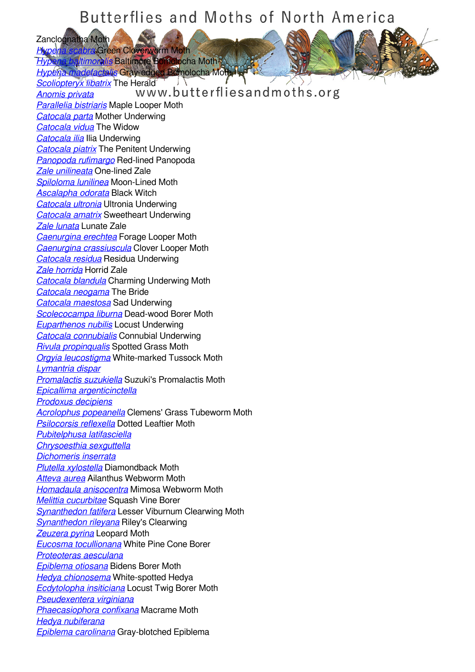Zanclognatha Moth<br>Hypena scabra Gre *Abra* Green Cloverworm Moth

*Himonalis* Baltimore Bomolocha Moth *[Hypena madefactalis](/species/Hypena-madefactalis)* Gray-edged Bomolocha Moth

*[Scoliopteryx libatrix](/species/Scoliopteryx-libatrix)* The Herald  $\overrightarrow{A}$  and  $\overrightarrow{A}$  and  $\overrightarrow{B}$  and  $\overrightarrow{B}$  and  $\overrightarrow{B}$  and  $\overrightarrow{B}$  and  $\overrightarrow{B}$  and  $\overrightarrow{B}$  and  $\overrightarrow{B}$  and  $\overrightarrow{B}$  and  $\overrightarrow{B}$  and  $\overrightarrow{B}$  and  $\overrightarrow{B}$  and  $\overrightarrow{B}$  and  $\overrightarrow{$ *[Anomis privata](/species/Anomis-privata) [Parallelia bistriaris](/species/Parallelia-bistriaris)* Maple Looper Moth *[Catocala parta](/species/Catocala-parta)* Mother Underwing *[Catocala vidua](/species/Catocala-vidua)* The Widow *[Catocala ilia](/species/Catocala-ilia)* Ilia Underwing *[Catocala piatrix](/species/Catocala-piatrix)* The Penitent Underwing *[Panopoda rufimargo](/species/Panopoda-rufimargo)* Red-lined Panopoda *[Zale unilineata](/species/Zale-unilineata)* One-lined Zale *[Spiloloma lunilinea](/species/Spiloloma-lunilinea)* Moon-Lined Moth *[Ascalapha odorata](/species/Ascalapha-odorata)* Black Witch *[Catocala ultronia](/species/Catocala-ultronia)* Ultronia Underwing *[Catocala amatrix](/species/Catocala-amatrix)* Sweetheart Underwing *[Zale lunata](/species/Zale-lunata)* Lunate Zale *[Caenurgina erechtea](/species/Caenurgina-erechtea)* Forage Looper Moth *[Caenurgina crassiuscula](/species/Caenurgina-crassiuscula)* Clover Looper Moth *[Catocala residua](/species/Catocala-residua)* Residua Underwing *[Zale horrida](/species/Zale-horrida)* Horrid Zale *[Catocala blandula](/species/Catocala-blandula)* Charming Underwing Moth *[Catocala neogama](/species/Catocala-neogama)* The Bride *[Catocala maestosa](/species/Catocala-maestosa)* Sad Underwing *[Scolecocampa liburna](/species/Scolecocampa-liburna)* Dead-wood Borer Moth *[Euparthenos nubilis](/species/Euparthenos-nubilis)* Locust Underwing *[Catocala connubialis](/species/Catocala-connubialis)* Connubial Underwing *[Rivula propinqualis](/species/Rivula-propinqualis)* Spotted Grass Moth *[Orgyia leucostigma](/species/Orgyia-leucostigma)* White-marked Tussock Moth *[Lymantria dispar](/species/Lymantria-dispar) [Promalactis suzukiella](/species/Promalactis-suzukiella)* Suzuki's Promalactis Moth *[Epicallima argenticinctella](/species/Epicallima-argenticinctella) [Prodoxus decipiens](/species/Prodoxus-decipiens) [Acrolophus popeanella](/species/Acrolophus-popeanella)* Clemens' Grass Tubeworm Moth *[Psilocorsis reflexella](/species/Psilocorsis-reflexella)* Dotted Leaftier Moth *[Pubitelphusa latifasciella](/species/Pubitelphusa-latifasciella) [Chrysoesthia sexguttella](/species/Chrysoesthia-sexguttella) [Dichomeris inserrata](/species/Dichomeris-inserrata) [Plutella xylostella](/species/Plutella-xylostella)* Diamondback Moth *[Atteva aurea](/species/Atteva-aurea)* Ailanthus Webworm Moth *[Homadaula anisocentra](/species/Homadaula-anisocentra)* Mimosa Webworm Moth *[Melittia cucurbitae](/species/Melittia-cucurbitae)* Squash Vine Borer *[Synanthedon fatifera](/species/Synanthedon-fatifera)* Lesser Viburnum Clearwing Moth *[Synanthedon rileyana](/species/Synanthedon-rileyana)* Riley's Clearwing *[Zeuzera pyrina](/species/Zeuzera-pyrina)* Leopard Moth *[Eucosma tocullionana](/species/Eucosma-tocullionana)* White Pine Cone Borer *[Proteoteras aesculana](/species/Proteoteras-aesculana) [Epiblema otiosana](/species/Epiblema-otiosana)* Bidens Borer Moth *[Hedya chionosema](/species/Hedya-chionosema)* White-spotted Hedya *[Ecdytolopha insiticiana](/species/Ecdytolopha-insiticiana)* Locust Twig Borer Moth *[Pseudexentera virginiana](/species/Pseudexentera-virginiana) [Phaecasiophora confixana](/species/Phaecasiophora-confixana)* Macrame Moth *[Hedya nubiferana](/species/Hedya-nubiferana) [Epiblema carolinana](/species/Epiblema-carolinana)* Gray-blotched Epiblema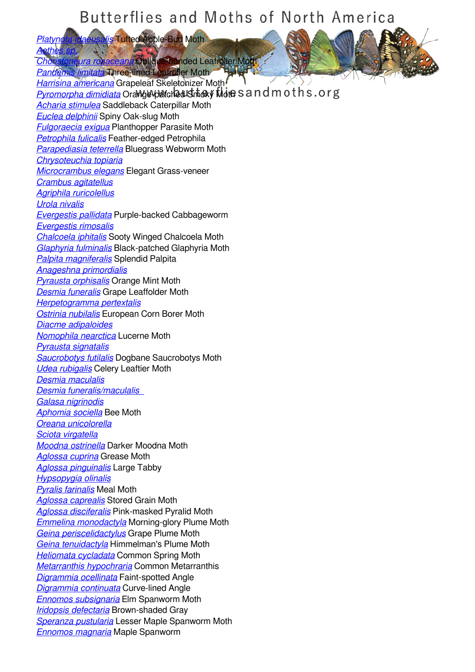*[Aethes sp.](/species/Aethes-sp.) Lura rosaceana* Oblique-banded Leafroller Moth

*[Platynota idaeusalis](/species/Platynota-idaeusalis)* Tufted Apple-Bud Moth

*[Pandemis limitata](/species/Pandemis-limitata)* Three-lined Leafroller Moth *[Harrisina americana](/species/Harrisina-americana)* Grapeleaf Skeletonizer Moth **[Pyromorpha dimidiata](/species/Pyromorpha-dimidiata)** Orange-patched Smoky Moth s and moths.org *[Acharia stimulea](/species/Acharia-stimulea)* Saddleback Caterpillar Moth *[Euclea delphinii](/species/Euclea-delphinii)* Spiny Oak-slug Moth *[Fulgoraecia exigua](/species/Fulgoraecia-exigua)* Planthopper Parasite Moth *[Petrophila fulicalis](/species/Petrophila-fulicalis)* Feather-edged Petrophila *[Parapediasia teterrella](/species/Parapediasia-teterrella)* Bluegrass Webworm Moth *[Chrysoteuchia topiaria](/species/Chrysoteuchia-topiaria) [Microcrambus elegans](/species/Microcrambus-elegans)* Elegant Grass-veneer *[Crambus agitatellus](/species/Crambus-agitatellus) [Agriphila ruricolellus](/species/Agriphila-ruricolellus) [Urola nivalis](/species/Urola-nivalis) [Evergestis pallidata](/species/Evergestis-pallidata)* Purple-backed Cabbageworm *[Evergestis rimosalis](/species/Evergestis-rimosalis) [Chalcoela iphitalis](/species/Chalcoela-iphitalis)* Sooty Winged Chalcoela Moth *[Glaphyria fulminalis](/species/Glaphyria-fulminalis)* Black-patched Glaphyria Moth *[Palpita magniferalis](/species/Palpita-magniferalis)* Splendid Palpita *[Anageshna primordialis](/species/Anageshna-primordialis) [Pyrausta orphisalis](/species/Pyrausta-orphisalis)* Orange Mint Moth *[Desmia funeralis](/species/Desmia-funeralis)* Grape Leaffolder Moth *[Herpetogramma pertextalis](/species/Herpetogramma-pertextalis) [Ostrinia nubilalis](/species/Ostrinia-nubilalis)* European Corn Borer Moth *[Diacme adipaloides](/species/Diacme-adipaloides) [Nomophila nearctica](/species/Nomophila-nearctica)* Lucerne Moth *[Pyrausta signatalis](/species/Pyrausta-signatalis) [Saucrobotys futilalis](/species/Saucrobotys-futilalis)* Dogbane Saucrobotys Moth *[Udea rubigalis](/species/Udea-rubigalis)* Celery Leaftier Moth *[Desmia maculalis](/species/Desmia-maculalis) [Desmia funeralis/maculalis](/species/Desmia-funeralis/maculalis--)  [Galasa nigrinodis](/species/Galasa-nigrinodis) [Aphomia sociella](/species/Aphomia-sociella)* Bee Moth *[Oreana unicolorella](/species/Oreana-unicolorella) [Sciota virgatella](/species/Sciota-virgatella) [Moodna ostrinella](/species/Moodna-ostrinella)* Darker Moodna Moth *[Aglossa cuprina](/species/Aglossa-cuprina)* Grease Moth *[Aglossa pinguinalis](/species/Aglossa-pinguinalis)* Large Tabby *[Hypsopygia olinalis](/species/Hypsopygia-olinalis) [Pyralis farinalis](/species/Pyralis-farinalis)* Meal Moth *[Aglossa caprealis](/species/Aglossa-caprealis)* Stored Grain Moth *[Aglossa disciferalis](/species/Aglossa-disciferalis)* Pink-masked Pyralid Moth *[Emmelina monodactyla](/species/Emmelina-monodactyla)* Morning-glory Plume Moth *[Geina periscelidactylus](/species/Geina-periscelidactylus)* Grape Plume Moth *[Geina tenuidactyla](/species/Geina-tenuidactyla)* Himmelman's Plume Moth *[Heliomata cycladata](/species/Heliomata-cycladata)* Common Spring Moth *[Metarranthis hypochraria](/species/Metarranthis-hypochraria)* Common Metarranthis *[Digrammia ocellinata](/species/Digrammia-ocellinata)* Faint-spotted Angle *[Digrammia continuata](/species/Digrammia-continuata)* Curve-lined Angle *[Ennomos subsignaria](/species/Ennomos-subsignaria)* Elm Spanworm Moth *[Iridopsis defectaria](/species/Iridopsis-defectaria)* Brown-shaded Gray *[Speranza pustularia](/species/Speranza-pustularia)* Lesser Maple Spanworm Moth *[Ennomos magnaria](/species/Ennomos-magnaria)* Maple Spanworm